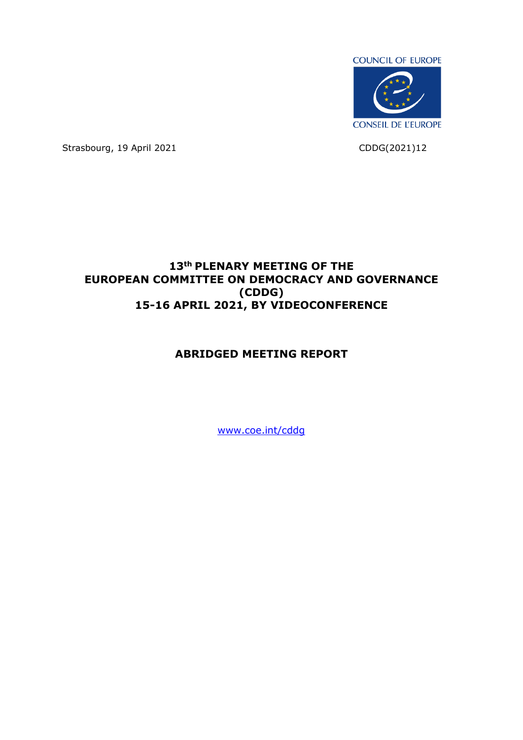

Strasbourg, 19 April 2021 CDDG(2021)12

# **13th PLENARY MEETING OF THE EUROPEAN COMMITTEE ON DEMOCRACY AND GOVERNANCE (CDDG) 15-16 APRIL 2021, BY VIDEOCONFERENCE**

# **ABRIDGED MEETING REPORT**

[www.coe.int/cddg](http://www.coe.int/cddg)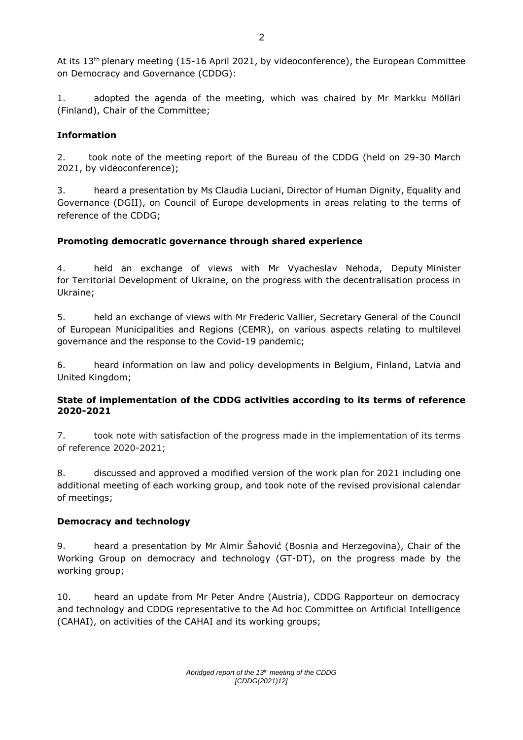At its 13<sup>th</sup> plenary meeting (15-16 April 2021, by videoconference), the European Committee on Democracy and Governance (CDDG):

1. adopted the agenda of the meeting, which was chaired by Mr Markku Mölläri (Finland), Chair of the Committee;

## **Information**

2. took note of the meeting report of the Bureau of the CDDG (held on 29-30 March 2021, by videoconference);

3. heard a presentation by Ms Claudia Luciani, Director of Human Dignity, Equality and Governance (DGII), on Council of Europe developments in areas relating to the terms of reference of the CDDG;

## **Promoting democratic governance through shared experience**

4. held an exchange of views with Mr Vyacheslav Nehoda, Deputy Minister for Territorial Development of Ukraine, on the progress with the decentralisation process in Ukraine;

5. held an exchange of views with Mr Frederic Vallier, Secretary General of the Council of European Municipalities and Regions (CEMR), on various aspects relating to multilevel governance and the response to the Covid-19 pandemic;

6. heard information on law and policy developments in Belgium, Finland, Latvia and United Kingdom;

## **State of implementation of the CDDG activities according to its terms of reference 2020-2021**

7. took note with satisfaction of the progress made in the implementation of its terms of reference 2020-2021;

8. discussed and approved a modified version of the work plan for 2021 including one additional meeting of each working group, and took note of the revised provisional calendar of meetings;

## **Democracy and technology**

9. heard a presentation by Mr Almir Šahović (Bosnia and Herzegovina), Chair of the Working Group on democracy and technology (GT-DT), on the progress made by the working group;

10. heard an update from Mr Peter Andre (Austria), CDDG Rapporteur on democracy and technology and CDDG representative to the Ad hoc Committee on Artificial Intelligence (CAHAI), on activities of the CAHAI and its working groups;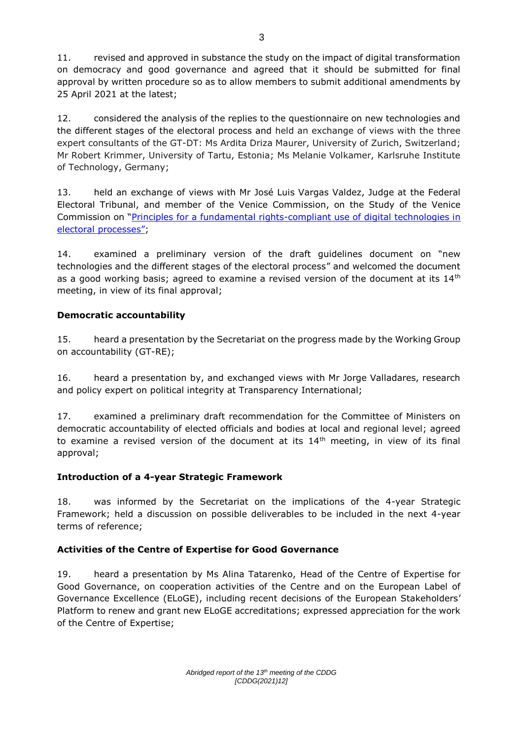11. revised and approved in substance the study on the impact of digital transformation on democracy and good governance and agreed that it should be submitted for final approval by written procedure so as to allow members to submit additional amendments by 25 April 2021 at the latest;

12. considered the analysis of the replies to the questionnaire on new technologies and the different stages of the electoral process and held an exchange of views with the three expert consultants of the GT-DT: Ms Ardita Driza Maurer, University of Zurich, Switzerland; Mr Robert Krimmer, University of Tartu, Estonia; Ms Melanie Volkamer, Karlsruhe Institute of Technology, Germany;

13. held an exchange of views with Mr José Luis Vargas Valdez, Judge at the Federal Electoral Tribunal, and member of the Venice Commission, on the Study of the Venice Commission on "Principles for a fundamental rights-compliant use of digital technologies in [electoral processes](https://www.venice.coe.int/webforms/documents/?pdf=CDL-AD(2020)037-e)";

14. examined a preliminary version of the draft guidelines document on "new technologies and the different stages of the electoral process" and welcomed the document as a good working basis; agreed to examine a revised version of the document at its  $14<sup>th</sup>$ meeting, in view of its final approval;

# **Democratic accountability**

15. heard a presentation by the Secretariat on the progress made by the Working Group on accountability (GT-RE);

16. heard a presentation by, and exchanged views with Mr Jorge Valladares, research and policy expert on political integrity at Transparency International;

17. examined a preliminary draft recommendation for the Committee of Ministers on democratic accountability of elected officials and bodies at local and regional level; agreed to examine a revised version of the document at its  $14<sup>th</sup>$  meeting, in view of its final approval;

# **Introduction of a 4-year Strategic Framework**

18. was informed by the Secretariat on the implications of the 4-year Strategic Framework; held a discussion on possible deliverables to be included in the next 4-year terms of reference;

## **Activities of the Centre of Expertise for Good Governance**

19. heard a presentation by Ms Alina Tatarenko, Head of the Centre of Expertise for Good Governance, on cooperation activities of the Centre and on the European Label of Governance Excellence (ELoGE), including recent decisions of the European Stakeholders' Platform to renew and grant new ELoGE accreditations; expressed appreciation for the work of the Centre of Expertise;